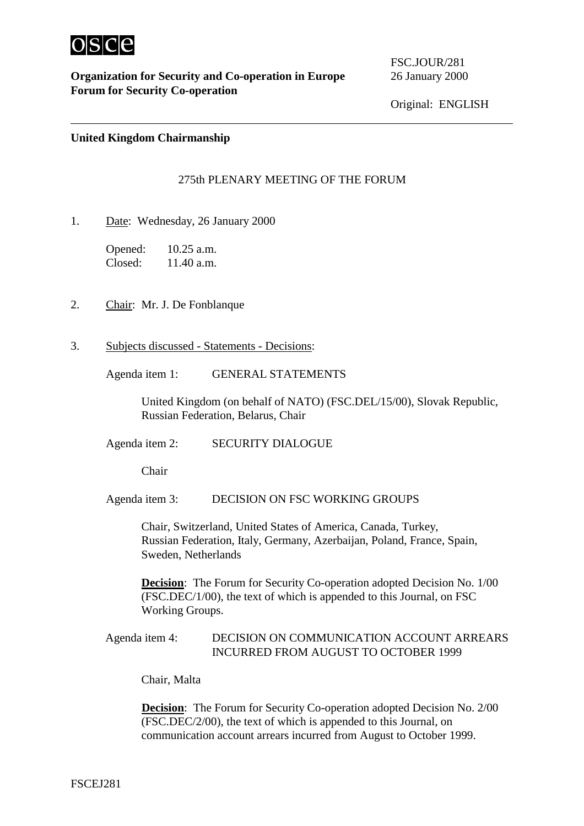

 $\overline{a}$ 

FSC.JOUR/281

## **United Kingdom Chairmanship**

## 275th PLENARY MEETING OF THE FORUM

1. Date: Wednesday, 26 January 2000

Opened: 10.25 a.m. Closed: 11.40 a.m.

- 2. Chair: Mr. J. De Fonblanque
- 3. Subjects discussed Statements Decisions:

Agenda item 1: GENERAL STATEMENTS

United Kingdom (on behalf of NATO) (FSC.DEL/15/00), Slovak Republic, Russian Federation, Belarus, Chair

Agenda item 2: SECURITY DIALOGUE

Chair

Agenda item 3: DECISION ON FSC WORKING GROUPS

Chair, Switzerland, United States of America, Canada, Turkey, Russian Federation, Italy, Germany, Azerbaijan, Poland, France, Spain, Sweden, Netherlands

**Decision:** The Forum for Security Co-operation adopted Decision No. 1/00 (FSC.DEC/1/00), the text of which is appended to this Journal, on FSC Working Groups.

## Agenda item 4: DECISION ON COMMUNICATION ACCOUNT ARREARS INCURRED FROM AUGUST TO OCTOBER 1999

Chair, Malta

**Decision:** The Forum for Security Co-operation adopted Decision No. 2/00 (FSC.DEC/2/00), the text of which is appended to this Journal, on communication account arrears incurred from August to October 1999.